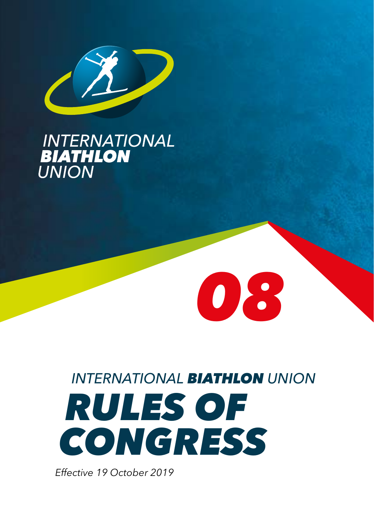

# **INTERNATIONAL<br>BIATHLON<br>UNION**

# *INTERNATIONAL BIATHLON UNION RULES OF CONGRESS*

*08*

*Effective 19 October 2019*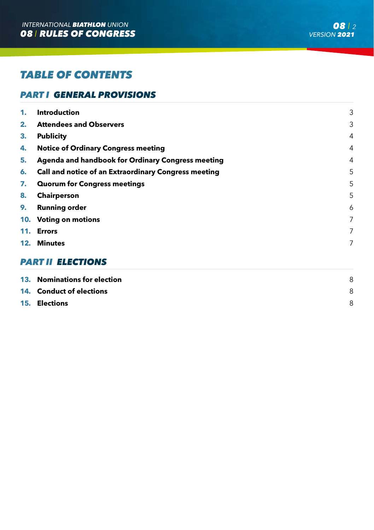# *TABLE OF CONTENTS*

# *PART I GENERAL PROVISIONS*

| 1. | Introduction                                                | 3 |
|----|-------------------------------------------------------------|---|
| 2. | <b>Attendees and Observers</b>                              | 3 |
| 3. | <b>Publicity</b>                                            | 4 |
| 4. | <b>Notice of Ordinary Congress meeting</b>                  | 4 |
| 5. | Agenda and handbook for Ordinary Congress meeting           | 4 |
| 6. | <b>Call and notice of an Extraordinary Congress meeting</b> | 5 |
| 7. | <b>Quorum for Congress meetings</b>                         | 5 |
| 8. | <b>Chairperson</b>                                          | 5 |
| 9. | <b>Running order</b>                                        | 6 |
|    | 10. Voting on motions                                       | 7 |
|    | 11. Errors                                                  | 7 |
|    | 12. Minutes                                                 | 7 |
|    | <b>PART II ELECTIONS</b>                                    |   |

| 13. Nominations for election    |  |
|---------------------------------|--|
| <b>14. Conduct of elections</b> |  |
| <b>15. Elections</b>            |  |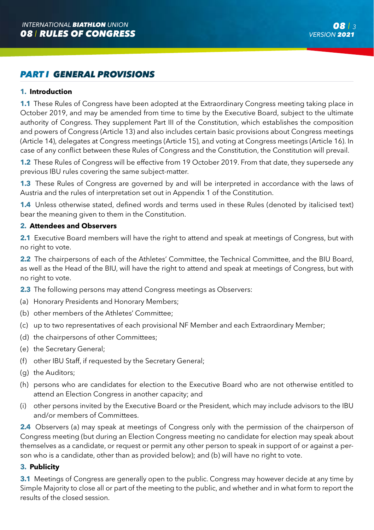### *PART I GENERAL PROVISIONS*

#### **1. Introduction**

**1.1** These Rules of Congress have been adopted at the Extraordinary Congress meeting taking place in October 2019, and may be amended from time to time by the Executive Board, subject to the ultimate authority of Congress. They supplement Part III of the Constitution, which establishes the composition and powers of Congress (Article 13) and also includes certain basic provisions about Congress meetings (Article 14), delegates at Congress meetings (Article 15), and voting at Congress meetings (Article 16). In case of any conflict between these Rules of Congress and the Constitution, the Constitution will prevail.

**1.2** These Rules of Congress will be effective from 19 October 2019. From that date, they supersede any previous IBU rules covering the same subject-matter.

**1.3** These Rules of Congress are governed by and will be interpreted in accordance with the laws of Austria and the rules of interpretation set out in Appendix 1 of the Constitution.

**1.4** Unless otherwise stated, defined words and terms used in these Rules (denoted by italicised text) bear the meaning given to them in the Constitution.

#### **2. Attendees and Observers**

**2.1** Executive Board members will have the right to attend and speak at meetings of Congress, but with no right to vote.

**2.2** The chairpersons of each of the Athletes' Committee, the Technical Committee, and the BIU Board, as well as the Head of the BIU, will have the right to attend and speak at meetings of Congress, but with no right to vote.

- **2.3** The following persons may attend Congress meetings as Observers:
- (a) Honorary Presidents and Honorary Members;
- (b) other members of the Athletes' Committee;
- (c) up to two representatives of each provisional NF Member and each Extraordinary Member;
- (d) the chairpersons of other Committees;
- (e) the Secretary General;
- (f) other IBU Staff, if requested by the Secretary General;
- (g) the Auditors;
- (h) persons who are candidates for election to the Executive Board who are not otherwise entitled to attend an Election Congress in another capacity; and
- (i) other persons invited by the Executive Board or the President, which may include advisors to the IBU and/or members of Committees.

**2.4** Observers (a) may speak at meetings of Congress only with the permission of the chairperson of Congress meeting (but during an Election Congress meeting no candidate for election may speak about themselves as a candidate, or request or permit any other person to speak in support of or against a person who is a candidate, other than as provided below); and (b) will have no right to vote.

#### **3. Publicity**

**3.1** Meetings of Congress are generally open to the public. Congress may however decide at any time by Simple Majority to close all or part of the meeting to the public, and whether and in what form to report the results of the closed session.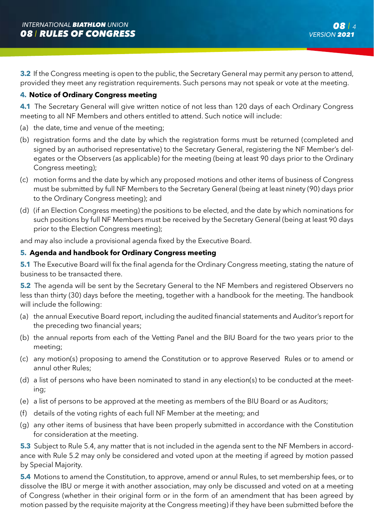**3.2** If the Congress meeting is open to the public, the Secretary General may permit any person to attend, provided they meet any registration requirements. Such persons may not speak or vote at the meeting.

#### **4. Notice of Ordinary Congress meeting**

**4.1** The Secretary General will give written notice of not less than 120 days of each Ordinary Congress meeting to all NF Members and others entitled to attend. Such notice will include:

- (a) the date, time and venue of the meeting;
- (b) registration forms and the date by which the registration forms must be returned (completed and signed by an authorised representative) to the Secretary General, registering the NF Member's delegates or the Observers (as applicable) for the meeting (being at least 90 days prior to the Ordinary Congress meeting);
- (c) motion forms and the date by which any proposed motions and other items of business of Congress must be submitted by full NF Members to the Secretary General (being at least ninety (90) days prior to the Ordinary Congress meeting); and
- (d) (if an Election Congress meeting) the positions to be elected, and the date by which nominations for such positions by full NF Members must be received by the Secretary General (being at least 90 days prior to the Election Congress meeting);

and may also include a provisional agenda fixed by the Executive Board.

#### **5. Agenda and handbook for Ordinary Congress meeting**

**5.1** The Executive Board will fix the final agenda for the Ordinary Congress meeting, stating the nature of business to be transacted there.

**5.2** The agenda will be sent by the Secretary General to the NF Members and registered Observers no less than thirty (30) days before the meeting, together with a handbook for the meeting. The handbook will include the following:

- (a) the annual Executive Board report, including the audited financial statements and Auditor's report for the preceding two financial years;
- (b) the annual reports from each of the Vetting Panel and the BIU Board for the two years prior to the meeting;
- (c) any motion(s) proposing to amend the Constitution or to approve Reserved Rules or to amend or annul other Rules;
- (d) a list of persons who have been nominated to stand in any election(s) to be conducted at the meeting;
- (e) a list of persons to be approved at the meeting as members of the BIU Board or as Auditors;
- (f) details of the voting rights of each full NF Member at the meeting; and
- (g) any other items of business that have been properly submitted in accordance with the Constitution for consideration at the meeting.

**5.3** Subject to Rule 5.4, any matter that is not included in the agenda sent to the NF Members in accordance with Rule 5.2 may only be considered and voted upon at the meeting if agreed by motion passed by Special Majority.

**5.4** Motions to amend the Constitution, to approve, amend or annul Rules, to set membership fees, or to dissolve the IBU or merge it with another association, may only be discussed and voted on at a meeting of Congress (whether in their original form or in the form of an amendment that has been agreed by motion passed by the requisite majority at the Congress meeting) if they have been submitted before the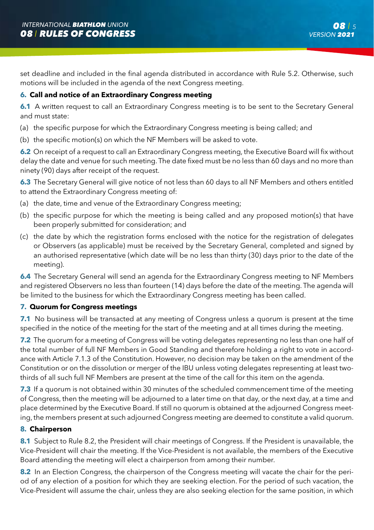set deadline and included in the final agenda distributed in accordance with Rule 5.2. Otherwise, such motions will be included in the agenda of the next Congress meeting.

#### **6. Call and notice of an Extraordinary Congress meeting**

**6.1** A written request to call an Extraordinary Congress meeting is to be sent to the Secretary General and must state:

- (a) the specific purpose for which the Extraordinary Congress meeting is being called; and
- (b) the specific motion(s) on which the NF Members will be asked to vote.

**6.2** On receipt of a request to call an Extraordinary Congress meeting, the Executive Board will fix without delay the date and venue for such meeting. The date fixed must be no less than 60 days and no more than ninety (90) days after receipt of the request.

**6.3** The Secretary General will give notice of not less than 60 days to all NF Members and others entitled to attend the Extraordinary Congress meeting of:

- (a) the date, time and venue of the Extraordinary Congress meeting;
- (b) the specific purpose for which the meeting is being called and any proposed motion(s) that have been properly submitted for consideration; and
- (c) the date by which the registration forms enclosed with the notice for the registration of delegates or Observers (as applicable) must be received by the Secretary General, completed and signed by an authorised representative (which date will be no less than thirty (30) days prior to the date of the meeting).

**6.4** The Secretary General will send an agenda for the Extraordinary Congress meeting to NF Members and registered Observers no less than fourteen (14) days before the date of the meeting. The agenda will be limited to the business for which the Extraordinary Congress meeting has been called.

#### **7. Quorum for Congress meetings**

**7.1** No business will be transacted at any meeting of Congress unless a quorum is present at the time specified in the notice of the meeting for the start of the meeting and at all times during the meeting.

**7.2** The quorum for a meeting of Congress will be voting delegates representing no less than one half of the total number of full NF Members in Good Standing and therefore holding a right to vote in accordance with Article 7.1.3 of the Constitution. However, no decision may be taken on the amendment of the Constitution or on the dissolution or merger of the IBU unless voting delegates representing at least twothirds of all such full NF Members are present at the time of the call for this item on the agenda.

**7.3** If a quorum is not obtained within 30 minutes of the scheduled commencement time of the meeting of Congress, then the meeting will be adjourned to a later time on that day, or the next day, at a time and place determined by the Executive Board. If still no quorum is obtained at the adjourned Congress meeting, the members present at such adjourned Congress meeting are deemed to constitute a valid quorum.

#### **8. Chairperson**

**8.1** Subject to Rule 8.2, the President will chair meetings of Congress. If the President is unavailable, the Vice-President will chair the meeting. If the Vice-President is not available, the members of the Executive Board attending the meeting will elect a chairperson from among their number.

**8.2** In an Election Congress, the chairperson of the Congress meeting will vacate the chair for the period of any election of a position for which they are seeking election. For the period of such vacation, the Vice-President will assume the chair, unless they are also seeking election for the same position, in which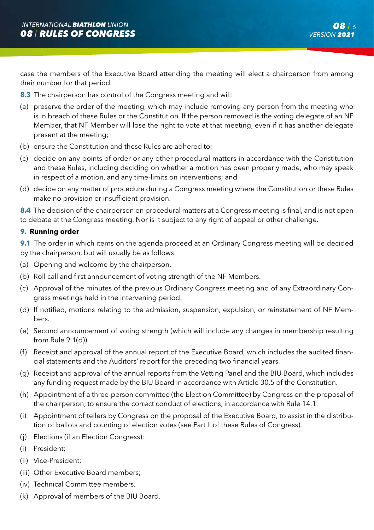case the members of the Executive Board attending the meeting will elect a chairperson from among their number for that period.

- **8.3** The chairperson has control of the Congress meeting and will:
- (a) preserve the order of the meeting, which may include removing any person from the meeting who is in breach of these Rules or the Constitution. If the person removed is the voting delegate of an NF Member, that NF Member will lose the right to vote at that meeting, even if it has another delegate present at the meeting;
- (b) ensure the Constitution and these Rules are adhered to;
- (c) decide on any points of order or any other procedural matters in accordance with the Constitution and these Rules, including deciding on whether a motion has been properly made, who may speak in respect of a motion, and any time-limits on interventions; and
- (d) decide on any matter of procedure during a Congress meeting where the Constitution or these Rules make no provision or insufficient provision.

**8.4** The decision of the chairperson on procedural matters at a Congress meeting is final, and is not open to debate at the Congress meeting. Nor is it subject to any right of appeal or other challenge.

#### **9. Running order**

**9.1** The order in which items on the agenda proceed at an Ordinary Congress meeting will be decided by the chairperson, but will usually be as follows:

- (a) Opening and welcome by the chairperson.
- (b) Roll call and first announcement of voting strength of the NF Members.
- (c) Approval of the minutes of the previous Ordinary Congress meeting and of any Extraordinary Congress meetings held in the intervening period.
- (d) If notified, motions relating to the admission, suspension, expulsion, or reinstatement of NF Members.
- (e) Second announcement of voting strength (which will include any changes in membership resulting from Rule 9.1(d)).
- (f) Receipt and approval of the annual report of the Executive Board, which includes the audited financial statements and the Auditors' report for the preceding two financial years.
- (g) Receipt and approval of the annual reports from the Vetting Panel and the BIU Board, which includes any funding request made by the BIU Board in accordance with Article 30.5 of the Constitution.
- (h) Appointment of a three-person committee (the Election Committee) by Congress on the proposal of the chairperson, to ensure the correct conduct of elections, in accordance with Rule 14.1.
- (i) Appointment of tellers by Congress on the proposal of the Executive Board, to assist in the distribution of ballots and counting of election votes (see Part II of these Rules of Congress).
- (j) Elections (if an Election Congress):
- (i) President;
- (ii) Vice-President;
- (iii) Other Executive Board members;
- (iv) Technical Committee members.
- (k) Approval of members of the BIU Board.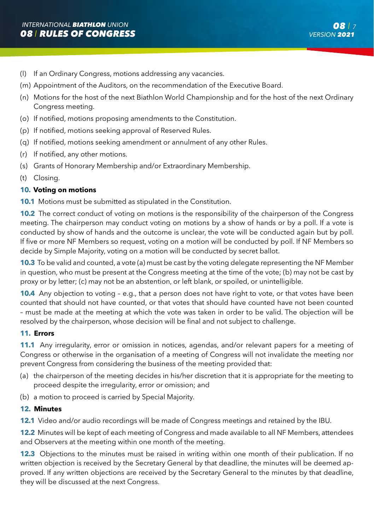- (l) If an Ordinary Congress, motions addressing any vacancies.
- (m) Appointment of the Auditors, on the recommendation of the Executive Board.
- (n) Motions for the host of the next Biathlon World Championship and for the host of the next Ordinary Congress meeting.
- (o) If notified, motions proposing amendments to the Constitution.
- (p) If notified, motions seeking approval of Reserved Rules.
- (q) If notified, motions seeking amendment or annulment of any other Rules.
- (r) If notified, any other motions.
- (s) Grants of Honorary Membership and/or Extraordinary Membership.
- (t) Closing.

#### **10. Voting on motions**

**10.1** Motions must be submitted as stipulated in the Constitution.

**10.2** The correct conduct of voting on motions is the responsibility of the chairperson of the Congress meeting. The chairperson may conduct voting on motions by a show of hands or by a poll. If a vote is conducted by show of hands and the outcome is unclear, the vote will be conducted again but by poll. If five or more NF Members so request, voting on a motion will be conducted by poll. If NF Members so decide by Simple Majority, voting on a motion will be conducted by secret ballot.

**10.3** To be valid and counted, a vote (a) must be cast by the voting delegate representing the NF Member in question, who must be present at the Congress meeting at the time of the vote; (b) may not be cast by proxy or by letter; (c) may not be an abstention, or left blank, or spoiled, or unintelligible.

**10.4** Any objection to voting - e.g., that a person does not have right to vote, or that votes have been counted that should not have counted, or that votes that should have counted have not been counted – must be made at the meeting at which the vote was taken in order to be valid. The objection will be resolved by the chairperson, whose decision will be final and not subject to challenge.

#### **11. Errors**

**11.1** Any irregularity, error or omission in notices, agendas, and/or relevant papers for a meeting of Congress or otherwise in the organisation of a meeting of Congress will not invalidate the meeting nor prevent Congress from considering the business of the meeting provided that:

- (a) the chairperson of the meeting decides in his/her discretion that it is appropriate for the meeting to proceed despite the irregularity, error or omission; and
- (b) a motion to proceed is carried by Special Majority.

#### **12. Minutes**

**12.1** Video and/or audio recordings will be made of Congress meetings and retained by the IBU.

**12.2** Minutes will be kept of each meeting of Congress and made available to all NF Members, attendees and Observers at the meeting within one month of the meeting.

**12.3** Objections to the minutes must be raised in writing within one month of their publication. If no written objection is received by the Secretary General by that deadline, the minutes will be deemed approved. If any written objections are received by the Secretary General to the minutes by that deadline, they will be discussed at the next Congress.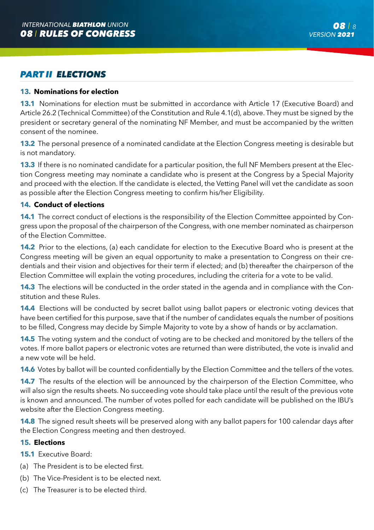## *PART II ELECTIONS*

#### **13. Nominations for election**

**13.1** Nominations for election must be submitted in accordance with Article 17 (Executive Board) and Article 26.2 (Technical Committee) of the Constitution and Rule 4.1(d), above. They must be signed by the president or secretary general of the nominating NF Member, and must be accompanied by the written consent of the nominee.

**13.2** The personal presence of a nominated candidate at the Election Congress meeting is desirable but is not mandatory.

**13.3** If there is no nominated candidate for a particular position, the full NF Members present at the Election Congress meeting may nominate a candidate who is present at the Congress by a Special Majority and proceed with the election. If the candidate is elected, the Vetting Panel will vet the candidate as soon as possible after the Election Congress meeting to confirm his/her Eligibility.

#### **14. Conduct of elections**

**14.1** The correct conduct of elections is the responsibility of the Election Committee appointed by Congress upon the proposal of the chairperson of the Congress, with one member nominated as chairperson of the Election Committee.

**14.2** Prior to the elections, (a) each candidate for election to the Executive Board who is present at the Congress meeting will be given an equal opportunity to make a presentation to Congress on their credentials and their vision and objectives for their term if elected; and (b) thereafter the chairperson of the Election Committee will explain the voting procedures, including the criteria for a vote to be valid.

**14.3** The elections will be conducted in the order stated in the agenda and in compliance with the Constitution and these Rules.

**14.4** Elections will be conducted by secret ballot using ballot papers or electronic voting devices that have been certified for this purpose, save that if the number of candidates equals the number of positions to be filled, Congress may decide by Simple Majority to vote by a show of hands or by acclamation.

**14.5** The voting system and the conduct of voting are to be checked and monitored by the tellers of the votes. If more ballot papers or electronic votes are returned than were distributed, the vote is invalid and a new vote will be held.

**14.6** Votes by ballot will be counted confidentially by the Election Committee and the tellers of the votes.

**14.7** The results of the election will be announced by the chairperson of the Election Committee, who will also sign the results sheets. No succeeding vote should take place until the result of the previous vote is known and announced. The number of votes polled for each candidate will be published on the IBU's website after the Election Congress meeting.

**14.8** The signed result sheets will be preserved along with any ballot papers for 100 calendar days after the Election Congress meeting and then destroyed.

#### **15. Elections**

**15.1** Executive Board:

- (a) The President is to be elected first.
- (b) The Vice-President is to be elected next.
- (c) The Treasurer is to be elected third.